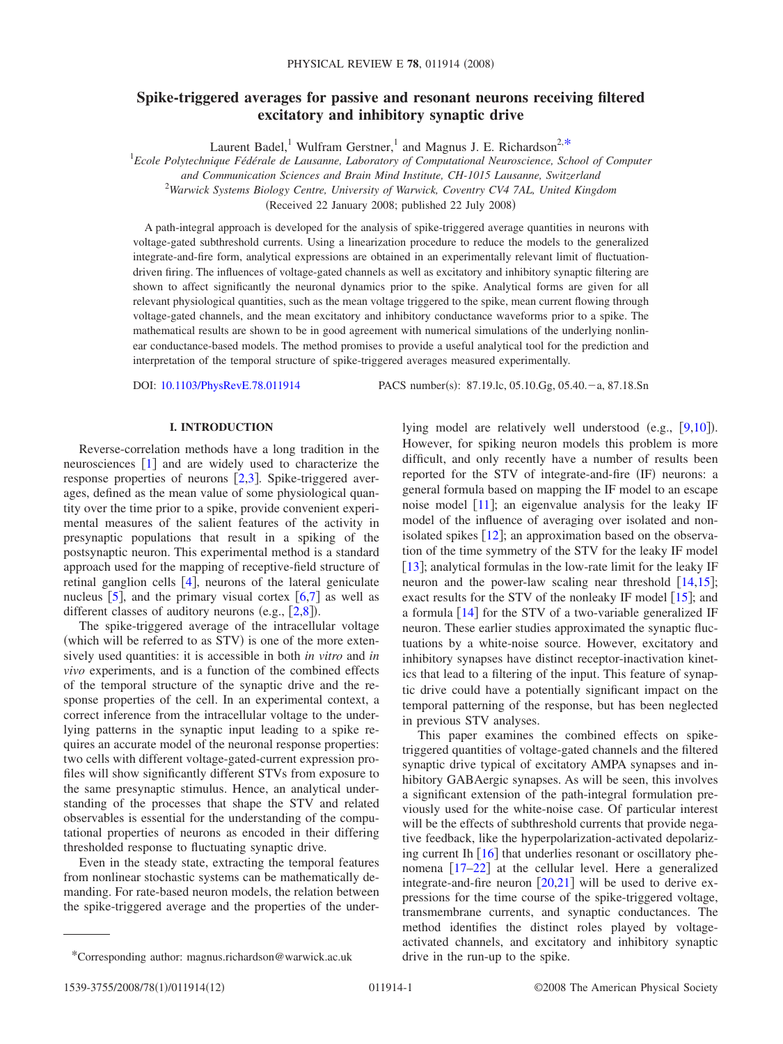# **Spike-triggered averages for passive and resonant neurons receiving filtered excitatory and inhibitory synaptic drive**

Laurent Badel,<sup>1</sup> Wulfram Gerstner,<sup>1</sup> and Magnus J. E. Richardson<sup>2[,\\*](#page-0-0)</sup>

*Ecole Polytechnique Fédérale de Lausanne, Laboratory of Computational Neuroscience, School of Computer*

*and Communication Sciences and Brain Mind Institute, CH-1015 Lausanne, Switzerland*

2 *Warwick Systems Biology Centre, University of Warwick, Coventry CV4 7AL, United Kingdom*

(Received 22 January 2008; published 22 July 2008)

A path-integral approach is developed for the analysis of spike-triggered average quantities in neurons with voltage-gated subthreshold currents. Using a linearization procedure to reduce the models to the generalized integrate-and-fire form, analytical expressions are obtained in an experimentally relevant limit of fluctuationdriven firing. The influences of voltage-gated channels as well as excitatory and inhibitory synaptic filtering are shown to affect significantly the neuronal dynamics prior to the spike. Analytical forms are given for all relevant physiological quantities, such as the mean voltage triggered to the spike, mean current flowing through voltage-gated channels, and the mean excitatory and inhibitory conductance waveforms prior to a spike. The mathematical results are shown to be in good agreement with numerical simulations of the underlying nonlinear conductance-based models. The method promises to provide a useful analytical tool for the prediction and interpretation of the temporal structure of spike-triggered averages measured experimentally.

DOI: [10.1103/PhysRevE.78.011914](http://dx.doi.org/10.1103/PhysRevE.78.011914)

PACS number(s): 87.19.1c, 05.10.Gg, 05.40. - a, 87.18.Sn

### **I. INTRODUCTION**

Reverse-correlation methods have a long tradition in the neurosciences  $\begin{bmatrix} 1 \end{bmatrix}$  $\begin{bmatrix} 1 \end{bmatrix}$  $\begin{bmatrix} 1 \end{bmatrix}$  and are widely used to characterize the response properties of neurons  $[2,3]$  $[2,3]$  $[2,3]$  $[2,3]$ . Spike-triggered averages, defined as the mean value of some physiological quantity over the time prior to a spike, provide convenient experimental measures of the salient features of the activity in presynaptic populations that result in a spiking of the postsynaptic neuron. This experimental method is a standard approach used for the mapping of receptive-field structure of retinal ganglion cells  $[4]$  $[4]$  $[4]$ , neurons of the lateral geniculate nucleus  $[5]$  $[5]$  $[5]$ , and the primary visual cortex  $[6,7]$  $[6,7]$  $[6,7]$  $[6,7]$  as well as different classes of auditory neurons (e.g.,  $[2,8]$  $[2,8]$  $[2,8]$  $[2,8]$ ).

The spike-triggered average of the intracellular voltage (which will be referred to as STV) is one of the more extensively used quantities: it is accessible in both *in vitro* and *in vivo* experiments, and is a function of the combined effects of the temporal structure of the synaptic drive and the response properties of the cell. In an experimental context, a correct inference from the intracellular voltage to the underlying patterns in the synaptic input leading to a spike requires an accurate model of the neuronal response properties: two cells with different voltage-gated-current expression profiles will show significantly different STVs from exposure to the same presynaptic stimulus. Hence, an analytical understanding of the processes that shape the STV and related observables is essential for the understanding of the computational properties of neurons as encoded in their differing thresholded response to fluctuating synaptic drive.

Even in the steady state, extracting the temporal features from nonlinear stochastic systems can be mathematically demanding. For rate-based neuron models, the relation between the spike-triggered average and the properties of the under-

lying model are relatively well understood (e.g., [[9](#page-11-8)[,10](#page-11-9)]). However, for spiking neuron models this problem is more difficult, and only recently have a number of results been reported for the STV of integrate-and-fire (IF) neurons: a general formula based on mapping the IF model to an escape noise model  $[11]$  $[11]$  $[11]$ ; an eigenvalue analysis for the leaky IF model of the influence of averaging over isolated and nonisolated spikes  $[12]$  $[12]$  $[12]$ ; an approximation based on the observation of the time symmetry of the STV for the leaky IF model [[13](#page-11-12)]; analytical formulas in the low-rate limit for the leaky IF neuron and the power-law scaling near threshold  $[14,15]$  $[14,15]$  $[14,15]$  $[14,15]$ ; exact results for the STV of the nonleaky IF model  $[15]$  $[15]$  $[15]$ ; and a formula  $[14]$  $[14]$  $[14]$  for the STV of a two-variable generalized IF neuron. These earlier studies approximated the synaptic fluctuations by a white-noise source. However, excitatory and inhibitory synapses have distinct receptor-inactivation kinetics that lead to a filtering of the input. This feature of synaptic drive could have a potentially significant impact on the temporal patterning of the response, but has been neglected in previous STV analyses.

This paper examines the combined effects on spiketriggered quantities of voltage-gated channels and the filtered synaptic drive typical of excitatory AMPA synapses and inhibitory GABAergic synapses. As will be seen, this involves a significant extension of the path-integral formulation previously used for the white-noise case. Of particular interest will be the effects of subthreshold currents that provide negative feedback, like the hyperpolarization-activated depolarizing current Ih  $[16]$  $[16]$  $[16]$  that underlies resonant or oscillatory phenomena  $[17-22]$  $[17-22]$  $[17-22]$  at the cellular level. Here a generalized integrate-and-fire neuron  $[20,21]$  $[20,21]$  $[20,21]$  $[20,21]$  will be used to derive expressions for the time course of the spike-triggered voltage, transmembrane currents, and synaptic conductances. The method identifies the distinct roles played by voltageactivated channels, and excitatory and inhibitory synaptic

<span id="page-0-0"></span><sup>\*</sup>Corresponding author: magnus.richardson@warwick.ac.uk drive in the run-up to the spike.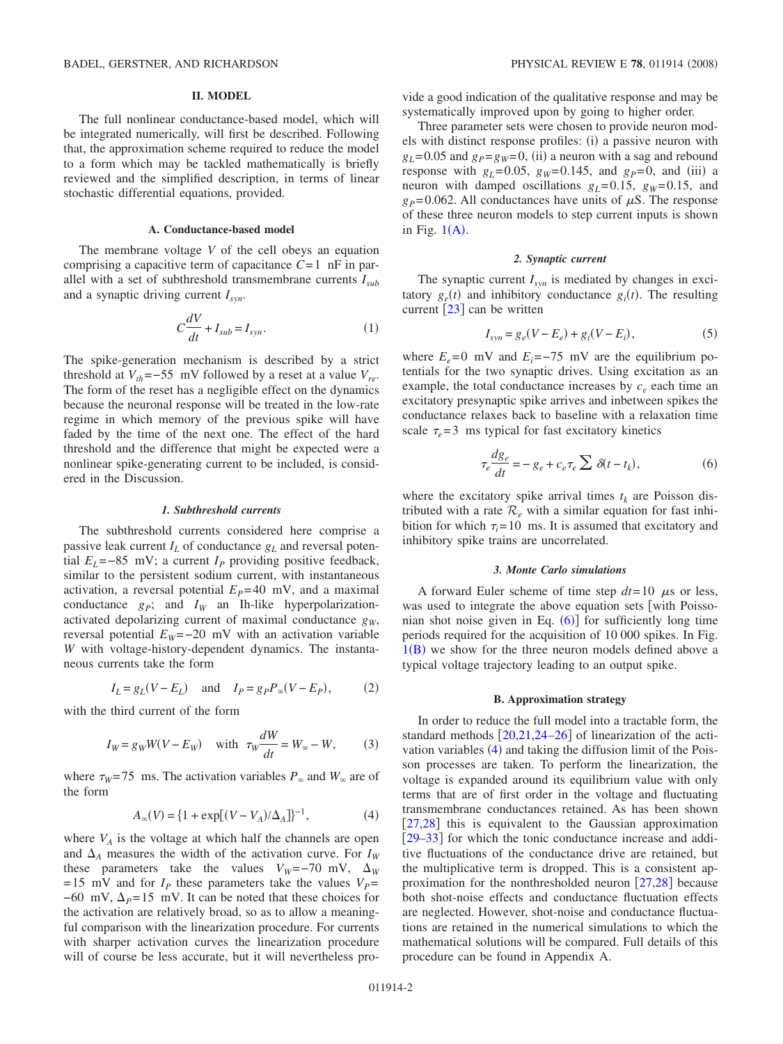### **II. MODEL**

The full nonlinear conductance-based model, which will be integrated numerically, will first be described. Following that, the approximation scheme required to reduce the model to a form which may be tackled mathematically is briefly reviewed and the simplified description, in terms of linear stochastic differential equations, provided.

### **A. Conductance-based model**

The membrane voltage *V* of the cell obeys an equation comprising a capacitive term of capacitance  $C = 1$  nF in parallel with a set of subthreshold transmembrane currents *Isub* and a synaptic driving current *Isyn*.

$$
C\frac{dV}{dt} + I_{sub} = I_{syn}.\tag{1}
$$

<span id="page-1-2"></span>The spike-generation mechanism is described by a strict threshold at  $V_{th}$ =−55 mV followed by a reset at a value  $V_{re}$ . The form of the reset has a negligible effect on the dynamics because the neuronal response will be treated in the low-rate regime in which memory of the previous spike will have faded by the time of the next one. The effect of the hard threshold and the difference that might be expected were a nonlinear spike-generating current to be included, is considered in the Discussion.

### *1. Subthreshold currents*

The subthreshold currents considered here comprise a passive leak current  $I_L$  of conductance  $g_L$  and reversal potential  $E_L$ =−85 mV; a current  $I_P$  providing positive feedback, similar to the persistent sodium current, with instantaneous activation, a reversal potential  $E<sub>P</sub>=40$  mV, and a maximal conductance  $g_p$ ; and  $I_w$  an Ih-like hyperpolarizationactivated depolarizing current of maximal conductance  $g_W$ , reversal potential  $E_W = -20$  mV with an activation variable *W* with voltage-history-dependent dynamics. The instantaneous currents take the form

$$
I_L = g_L(V - E_L) \quad \text{and} \quad I_P = g_P P_\infty(V - E_P), \tag{2}
$$

with the third current of the form

$$
I_W = g_W W(V - E_W) \quad \text{with} \quad \tau_W \frac{dW}{dt} = W_\infty - W,\tag{3}
$$

where  $\tau_w$ =75 ms. The activation variables  $P_\infty$  and  $W_\infty$  are of the form

$$
A_{\infty}(V) = \{1 + \exp[(V - V_A)/\Delta_A]\}^{-1},
$$
 (4)

<span id="page-1-1"></span>where  $V_A$  is the voltage at which half the channels are open and  $\Delta_A$  measures the width of the activation curve. For  $I_W$ these parameters take the values  $V_W = -70$  mV,  $\Delta_W$ = 15 mV and for  $I_p$  these parameters take the values  $V_p$ =  $-60$  mV,  $\Delta_p = 15$  mV. It can be noted that these choices for the activation are relatively broad, so as to allow a meaningful comparison with the linearization procedure. For currents with sharper activation curves the linearization procedure will of course be less accurate, but it will nevertheless provide a good indication of the qualitative response and may be systematically improved upon by going to higher order.

Three parameter sets were chosen to provide neuron models with distinct response profiles: (i) a passive neuron with  $g_L$ =0.05 and  $g_P$ = $g_W$ =0, (ii) a neuron with a sag and rebound response with  $g_L = 0.05$ ,  $g_W = 0.145$ , and  $g_P = 0$ , and (iii) a neuron with damped oscillations  $g_L$ =0.15,  $g_W$ =0.15, and  $g<sub>P</sub>=0.062$ . All conductances have units of  $\mu$ S. The response of these three neuron models to step current inputs is shown in Fig.  $1(A)$  $1(A)$  $1(A)$ .

### *2. Synaptic current*

The synaptic current  $I_{syn}$  is mediated by changes in excitatory  $g_e(t)$  and inhibitory conductance  $g_i(t)$ . The resulting current  $\lceil 23 \rceil$  $\lceil 23 \rceil$  $\lceil 23 \rceil$  can be written

$$
I_{syn} = g_e(V - E_e) + g_i(V - E_i),
$$
 (5)

<span id="page-1-3"></span>where  $E_e$ =0 mV and  $E_i$ =−75 mV are the equilibrium potentials for the two synaptic drives. Using excitation as an example, the total conductance increases by  $c_e$  each time an excitatory presynaptic spike arrives and inbetween spikes the conductance relaxes back to baseline with a relaxation time scale  $\tau_e$ = 3 ms typical for fast excitatory kinetics

$$
\tau_e \frac{dg_e}{dt} = -g_e + c_e \tau_e \sum \delta(t - t_k),\tag{6}
$$

<span id="page-1-0"></span>where the excitatory spike arrival times  $t_k$  are Poisson distributed with a rate  $\mathcal{R}_e$  with a similar equation for fast inhibition for which  $\tau_i = 10$  ms. It is assumed that excitatory and inhibitory spike trains are uncorrelated.

#### *3. Monte Carlo simulations*

A forward Euler scheme of time step  $dt = 10 \mu s$  or less, was used to integrate the above equation sets with Poissonian shot noise given in Eq.  $(6)$  $(6)$  $(6)$  for sufficiently long time periods required for the acquisition of 10 000 spikes. In Fig.  $1(B)$  $1(B)$  $1(B)$  we show for the three neuron models defined above a typical voltage trajectory leading to an output spike.

### **B. Approximation strategy**

In order to reduce the full model into a tractable form, the standard methods  $\lceil 20,21,24-26 \rceil$  $\lceil 20,21,24-26 \rceil$  $\lceil 20,21,24-26 \rceil$  $\lceil 20,21,24-26 \rceil$  $\lceil 20,21,24-26 \rceil$  of linearization of the acti-vation variables ([4](#page-1-1)) and taking the diffusion limit of the Poisson processes are taken. To perform the linearization, the voltage is expanded around its equilibrium value with only terms that are of first order in the voltage and fluctuating transmembrane conductances retained. As has been shown  $[27,28]$  $[27,28]$  $[27,28]$  $[27,28]$  this is equivalent to the Gaussian approximation [[29](#page-11-25)[–33](#page-11-26)] for which the tonic conductance increase and additive fluctuations of the conductance drive are retained, but the multiplicative term is dropped. This is a consistent approximation for the nonthresholded neuron  $[27,28]$  $[27,28]$  $[27,28]$  $[27,28]$  because both shot-noise effects and conductance fluctuation effects are neglected. However, shot-noise and conductance fluctuations are retained in the numerical simulations to which the mathematical solutions will be compared. Full details of this procedure can be found in Appendix A.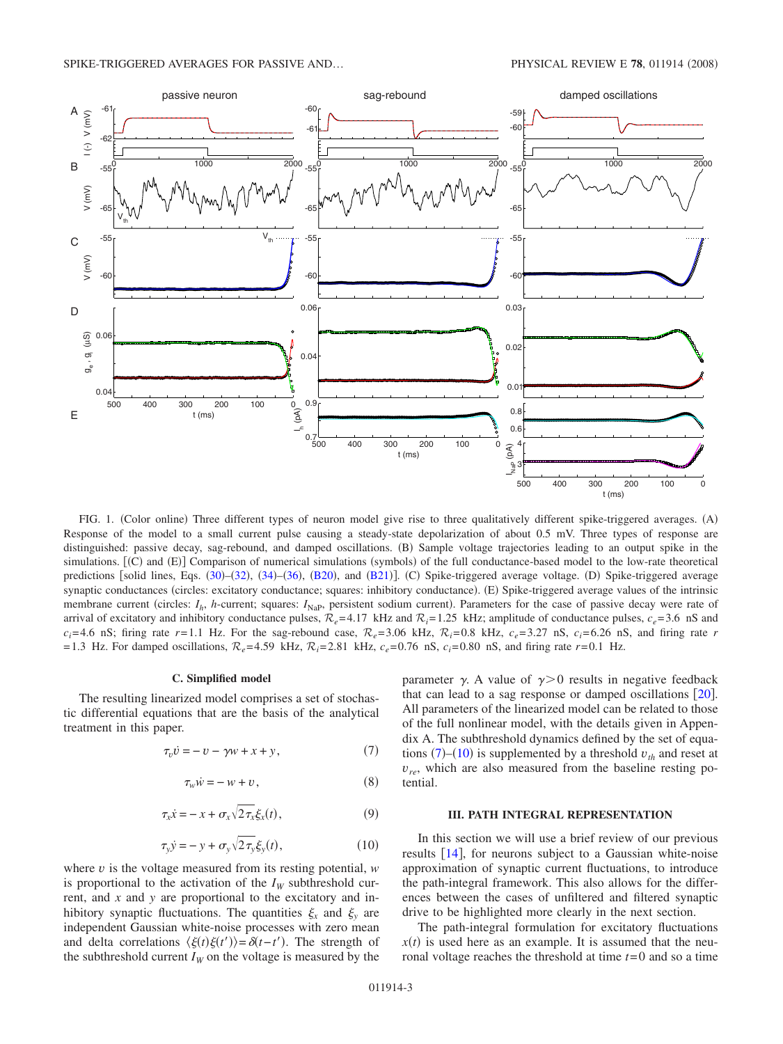<span id="page-2-0"></span>

FIG. 1. (Color online) Three different types of neuron model give rise to three qualitatively different spike-triggered averages. (A) Response of the model to a small current pulse causing a steady-state depolarization of about 0.5 mV. Three types of response are distinguished: passive decay, sag-rebound, and damped oscillations. (B) Sample voltage trajectories leading to an output spike in the simulations. [(C) and (E)] Comparison of numerical simulations (symbols) of the full conductance-based model to the low-rate theoretical predictions [solid lines, Eqs. ([30](#page-4-0))–([32](#page-4-1)), ([34](#page-5-0))–([36](#page-5-1)), ([B20](#page-10-0)), and ([B21](#page-10-1))]. (C) Spike-triggered average voltage. (D) Spike-triggered average synaptic conductances (circles: excitatory conductance; squares: inhibitory conductance). (E) Spike-triggered average values of the intrinsic membrane current (circles:  $I_h$ , *h*-current; squares:  $I_{\text{NaP}}$ , persistent sodium current). Parameters for the case of passive decay were rate of arrival of excitatory and inhibitory conductance pulses,  $\mathcal{R}_e$ =4.17 kHz and  $\mathcal{R}_i$ =1.25 kHz; amplitude of conductance pulses,  $c_e$ =3.6 nS and  $c_i$ = 4.6 nS; firing rate  $r = 1.1$  Hz. For the sag-rebound case,  $\mathcal{R}_e$ = 3.06 kHz,  $\mathcal{R}_i$ = 0.8 kHz,  $c_e$ = 3.27 nS,  $c_i$ = 6.26 nS, and firing rate *r* = 1.3 Hz. For damped oscillations,  $\mathcal{R}_e$ = 4.59 kHz,  $\mathcal{R}_i$ = 2.81 kHz,  $c_e$ = 0.76 nS,  $c_i$ = 0.80 nS, and firing rate *r*= 0.1 Hz.

### **C. Simplified model**

<span id="page-2-1"></span>The resulting linearized model comprises a set of stochastic differential equations that are the basis of the analytical treatment in this paper.

$$
\tau_v \dot{v} = -v - \gamma w + x + y,\tag{7}
$$

$$
\tau_w \dot{w} = -w + v,\tag{8}
$$

$$
\tau_x \dot{x} = -x + \sigma_x \sqrt{2 \tau_x} \xi_x(t), \qquad (9)
$$

$$
\tau_y \dot{y} = -y + \sigma_y \sqrt{2\,\tau_y} \xi_y(t), \qquad (10)
$$

<span id="page-2-4"></span><span id="page-2-3"></span><span id="page-2-2"></span>where  $v$  is the voltage measured from its resting potential,  $w$ is proportional to the activation of the  $I_W$  subthreshold current, and *x* and *y* are proportional to the excitatory and inhibitory synaptic fluctuations. The quantities  $\xi_x$  and  $\xi_y$  are independent Gaussian white-noise processes with zero mean and delta correlations  $\langle \xi(t) \xi(t') \rangle = \delta(t-t')$ . The strength of the subthreshold current  $I_W$  on the voltage is measured by the

parameter  $\gamma$ . A value of  $\gamma > 0$  results in negative feedback that can lead to a sag response or damped oscillations  $\lceil 20 \rceil$  $\lceil 20 \rceil$  $\lceil 20 \rceil$ . All parameters of the linearized model can be related to those of the full nonlinear model, with the details given in Appendix A. The subthreshold dynamics defined by the set of equations  $(7)-(10)$  $(7)-(10)$  $(7)-(10)$  $(7)-(10)$  $(7)-(10)$  is supplemented by a threshold  $v_{th}$  and reset at  $v_{re}$ , which are also measured from the baseline resting potential.

### **III. PATH INTEGRAL REPRESENTATION**

In this section we will use a brief review of our previous results  $[14]$  $[14]$  $[14]$ , for neurons subject to a Gaussian white-noise approximation of synaptic current fluctuations, to introduce the path-integral framework. This also allows for the differences between the cases of unfiltered and filtered synaptic drive to be highlighted more clearly in the next section.

The path-integral formulation for excitatory fluctuations  $x(t)$  is used here as an example. It is assumed that the neuronal voltage reaches the threshold at time *t*= 0 and so a time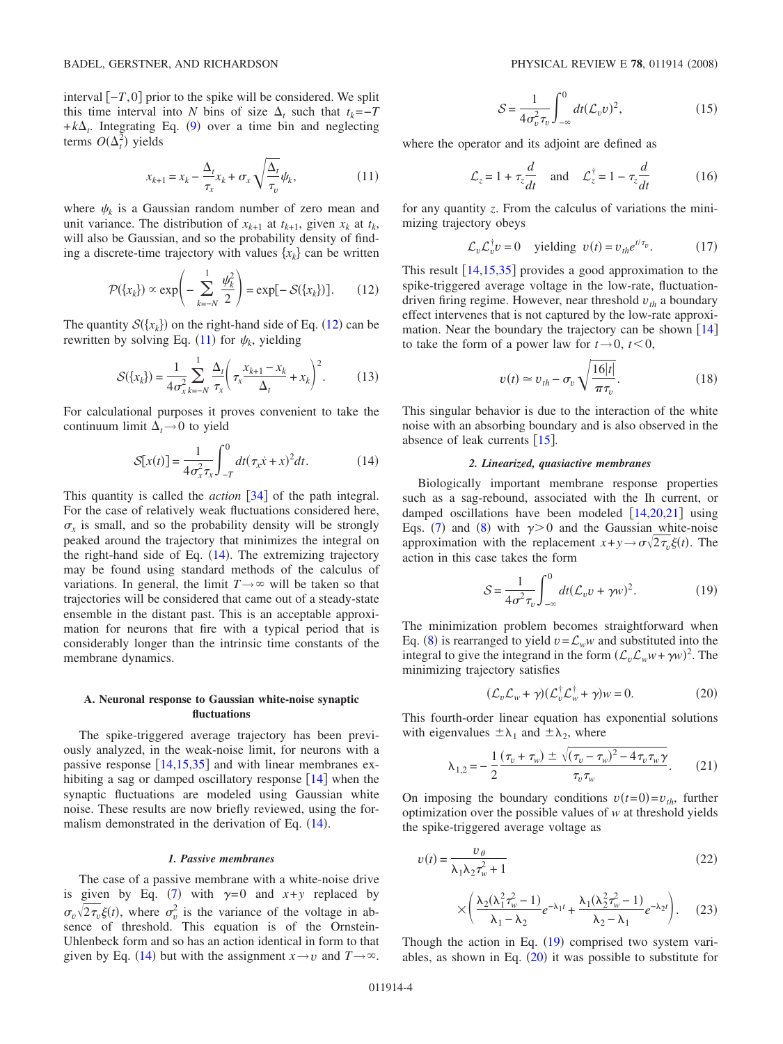interval  $[-T, 0]$  prior to the spike will be considered. We split this time interval into *N* bins of size  $\Delta_t$  such that  $t_k = -T$  $+k\Delta_t$ . Integrating Eq. ([9](#page-2-3)) over a time bin and neglecting terms  $O(\Delta_t^2)$  yields

$$
x_{k+1} = x_k - \frac{\Delta_t}{\tau_x} x_k + \sigma_x \sqrt{\frac{\Delta_t}{\tau_v}} \psi_k,
$$
\n(11)

<span id="page-3-1"></span>where  $\psi_k$  is a Gaussian random number of zero mean and unit variance. The distribution of  $x_{k+1}$  at  $t_{k+1}$ , given  $x_k$  at  $t_k$ , will also be Gaussian, and so the probability density of finding a discrete-time trajectory with values  $\{x_k\}$  can be written

$$
\mathcal{P}(\{x_k\}) \propto \exp\left(-\sum_{k=-N}^1 \frac{\psi_k^2}{2}\right) = \exp[-\mathcal{S}(\{x_k\})].\tag{12}
$$

<span id="page-3-0"></span>The quantity  $S({x_k})$  on the right-hand side of Eq. ([12](#page-3-0)) can be rewritten by solving Eq.  $(11)$  $(11)$  $(11)$  for  $\psi_k$ , yielding

$$
S({x_k}) = \frac{1}{4\sigma_x^2} \sum_{k=-N}^{1} \frac{\Delta_t}{\tau_x} \left( \tau_x \frac{x_{k+1} - x_k}{\Delta_t} + x_k \right)^2.
$$
 (13)

For calculational purposes it proves convenient to take the continuum limit  $\Delta_t \rightarrow 0$  to yield

$$
\mathcal{S}[x(t)] = \frac{1}{4\sigma_x^2 \tau_x} \int_{-T}^0 dt (\tau_x \dot{x} + x)^2 dt.
$$
 (14)

<span id="page-3-2"></span>This quantity is called the *action* [[34](#page-11-27)] of the path integral. For the case of relatively weak fluctuations considered here,  $\sigma_r$  is small, and so the probability density will be strongly peaked around the trajectory that minimizes the integral on the right-hand side of Eq.  $(14)$  $(14)$  $(14)$ . The extremizing trajectory may be found using standard methods of the calculus of variations. In general, the limit  $T \rightarrow \infty$  will be taken so that trajectories will be considered that came out of a steady-state ensemble in the distant past. This is an acceptable approximation for neurons that fire with a typical period that is considerably longer than the intrinsic time constants of the membrane dynamics.

### **A. Neuronal response to Gaussian white-noise synaptic fluctuations**

The spike-triggered average trajectory has been previously analyzed, in the weak-noise limit, for neurons with a passive response  $\lfloor 14, 15, 35 \rfloor$  $\lfloor 14, 15, 35 \rfloor$  $\lfloor 14, 15, 35 \rfloor$  and with linear membranes exhibiting a sag or damped oscillatory response  $\lceil 14 \rceil$  $\lceil 14 \rceil$  $\lceil 14 \rceil$  when the synaptic fluctuations are modeled using Gaussian white noise. These results are now briefly reviewed, using the for-malism demonstrated in the derivation of Eq. ([14](#page-3-2)).

#### *1. Passive membranes*

The case of a passive membrane with a white-noise drive is given by Eq. ([7](#page-2-1)) with  $\gamma = 0$  and  $x + y$  replaced by  $\sigma_v \sqrt{2\tau_v} \xi(t)$ , where  $\sigma_v^2$  is the variance of the voltage in absence of threshold. This equation is of the Ornstein-Uhlenbeck form and so has an action identical in form to that given by Eq. ([14](#page-3-2)) but with the assignment  $x \rightarrow v$  and  $T \rightarrow \infty$ .

$$
S = \frac{1}{4\sigma_v^2 \tau_v} \int_{-\infty}^0 dt (\mathcal{L}_v v)^2,
$$
 (15)

where the operator and its adjoint are defined as

$$
\mathcal{L}_z = 1 + \tau_z \frac{d}{dt} \quad \text{and} \quad \mathcal{L}_z^{\dagger} = 1 - \tau_z \frac{d}{dt} \tag{16}
$$

for any quantity *z*. From the calculus of variations the minimizing trajectory obeys

$$
\mathcal{L}_v \mathcal{L}_v^{\dagger} v = 0 \quad \text{yielding} \quad v(t) = v_{th} e^{t/\tau_v}.
$$
 (17)

<span id="page-3-5"></span>This result  $[14,15,35]$  $[14,15,35]$  $[14,15,35]$  $[14,15,35]$  $[14,15,35]$  provides a good approximation to the spike-triggered average voltage in the low-rate, fluctuationdriven firing regime. However, near threshold *vth* a boundary effect intervenes that is not captured by the low-rate approximation. Near the boundary the trajectory can be shown  $\lceil 14 \rceil$  $\lceil 14 \rceil$  $\lceil 14 \rceil$ to take the form of a power law for  $t \rightarrow 0, t < 0$ ,

$$
v(t) \approx v_{th} - \sigma_v \sqrt{\frac{16|t|}{\pi \tau_v}}.
$$
 (18)

This singular behavior is due to the interaction of the white noise with an absorbing boundary and is also observed in the absence of leak currents  $\lceil 15 \rceil$  $\lceil 15 \rceil$  $\lceil 15 \rceil$ .

### *2. Linearized, quasiactive membranes*

Biologically important membrane response properties such as a sag-rebound, associated with the Ih current, or damped oscillations have been modeled  $\lceil 14,20,21 \rceil$  $\lceil 14,20,21 \rceil$  $\lceil 14,20,21 \rceil$  $\lceil 14,20,21 \rceil$  $\lceil 14,20,21 \rceil$  using Eqs. ([7](#page-2-1)) and ([8](#page-2-4)) with  $\gamma > 0$  and the Gaussian white-noise approximation with the replacement  $x+y \rightarrow \sigma \sqrt{2\tau_v} \xi(t)$ . The action in this case takes the form

$$
S = \frac{1}{4\sigma^2 \tau_v} \int_{-\infty}^0 dt (\mathcal{L}_v v + \gamma w)^2.
$$
 (19)

<span id="page-3-3"></span>The minimization problem becomes straightforward when Eq. ([8](#page-2-4)) is rearranged to yield  $v = \mathcal{L}_w w$  and substituted into the integral to give the integrand in the form  $(L_v L_w w + \gamma w)^2$ . The minimizing trajectory satisfies

$$
(\mathcal{L}_v \mathcal{L}_w + \gamma)(\mathcal{L}_v^{\dagger} \mathcal{L}_w^{\dagger} + \gamma)w = 0.
$$
 (20)

<span id="page-3-4"></span>This fourth-order linear equation has exponential solutions with eigenvalues  $\pm \lambda_1$  and  $\pm \lambda_2$ , where

$$
\lambda_{1,2} = -\frac{1}{2} \frac{(\tau_v + \tau_w) \pm \sqrt{(\tau_v - \tau_w)^2 - 4\tau_v \tau_w \gamma}}{\tau_v \tau_w}.
$$
 (21)

<span id="page-3-6"></span>On imposing the boundary conditions  $v(t=0) = v_{th}$ , further optimization over the possible values of *w* at threshold yields the spike-triggered average voltage as

<span id="page-3-7"></span>
$$
v(t) = \frac{v_{\theta}}{\lambda_1 \lambda_2 \tau_w^2 + 1}
$$
 (22)

$$
\times \left( \frac{\lambda_2 (\lambda_1^2 \tau_w^2 - 1)}{\lambda_1 - \lambda_2} e^{-\lambda_1 t} + \frac{\lambda_1 (\lambda_2^2 \tau_w^2 - 1)}{\lambda_2 - \lambda_1} e^{-\lambda_2 t} \right). \tag{23}
$$

Though the action in Eq.  $(19)$  $(19)$  $(19)$  comprised two system variables, as shown in Eq.  $(20)$  $(20)$  $(20)$  it was possible to substitute for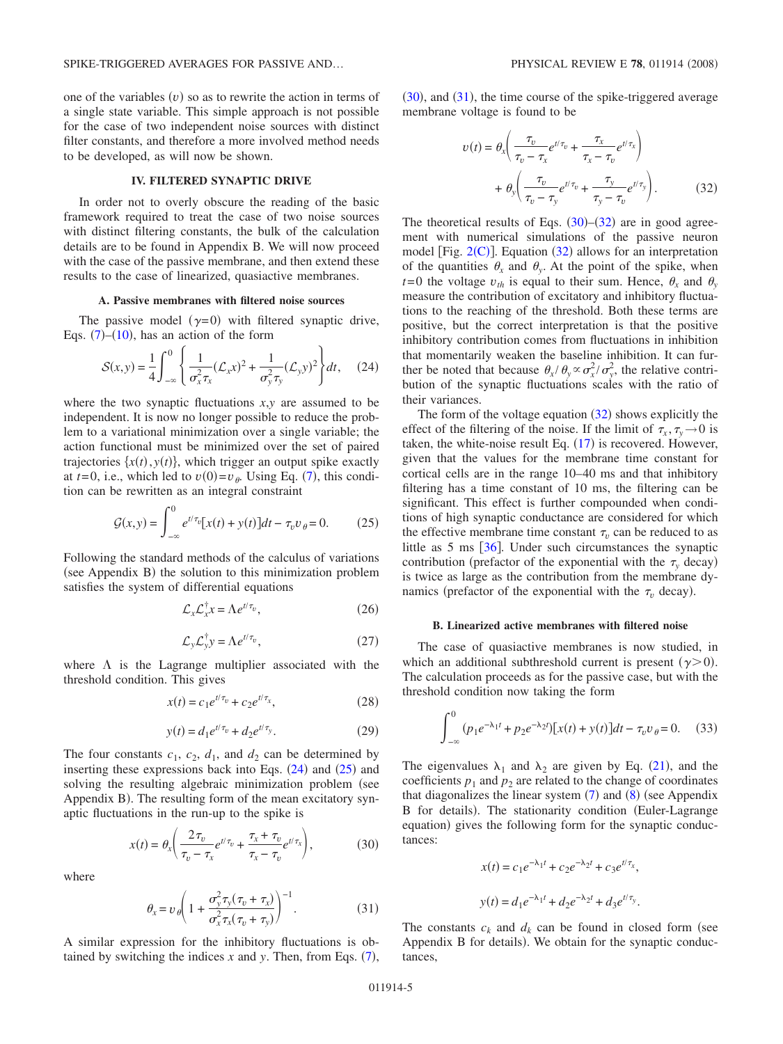one of the variables  $(v)$  so as to rewrite the action in terms of a single state variable. This simple approach is not possible for the case of two independent noise sources with distinct filter constants, and therefore a more involved method needs to be developed, as will now be shown.

### **IV. FILTERED SYNAPTIC DRIVE**

In order not to overly obscure the reading of the basic framework required to treat the case of two noise sources with distinct filtering constants, the bulk of the calculation details are to be found in Appendix B. We will now proceed with the case of the passive membrane, and then extend these results to the case of linearized, quasiactive membranes.

#### **A. Passive membranes with filtered noise sources**

The passive model  $(\gamma=0)$  with filtered synaptic drive, Eqs.  $(7)$  $(7)$  $(7)$ – $(10)$  $(10)$  $(10)$ , has an action of the form

$$
S(x,y) = \frac{1}{4} \int_{-\infty}^{0} \left\{ \frac{1}{\sigma_x^2 \tau_x} (\mathcal{L}_x x)^2 + \frac{1}{\sigma_y^2 \tau_y} (\mathcal{L}_y y)^2 \right\} dt, \quad (24)
$$

<span id="page-4-2"></span>where the two synaptic fluctuations *x*,*y* are assumed to be independent. It is now no longer possible to reduce the problem to a variational minimization over a single variable; the action functional must be minimized over the set of paired trajectories  $\{x(t), y(t)\}\$ , which trigger an output spike exactly at  $t=0$ , i.e., which led to  $v(0)=v_{\theta}$ . Using Eq. ([7](#page-2-1)), this condition can be rewritten as an integral constraint

$$
\mathcal{G}(x, y) = \int_{-\infty}^{0} e^{t/\tau_{v}} [x(t) + y(t)] dt - \tau_{v} v_{\theta} = 0.
$$
 (25)

<span id="page-4-3"></span>Following the standard methods of the calculus of variations (see Appendix B) the solution to this minimization problem satisfies the system of differential equations

$$
\mathcal{L}_x \mathcal{L}_x^{\dagger} x = \Lambda e^{t/\tau_v},\tag{26}
$$

$$
\mathcal{L}_y \mathcal{L}_y^{\dagger} y = \Lambda e^{t/\tau_v},\tag{27}
$$

where  $\Lambda$  is the Lagrange multiplier associated with the threshold condition. This gives

$$
x(t) = c_1 e^{t/\tau_v} + c_2 e^{t/\tau_x}, \qquad (28)
$$

$$
y(t) = d_1 e^{t/\tau_v} + d_2 e^{t/\tau_y}.
$$
 (29)

The four constants  $c_1$ ,  $c_2$ ,  $d_1$ , and  $d_2$  can be determined by inserting these expressions back into Eqs.  $(24)$  $(24)$  $(24)$  and  $(25)$  $(25)$  $(25)$  and solving the resulting algebraic minimization problem (see Appendix B). The resulting form of the mean excitatory synaptic fluctuations in the run-up to the spike is

$$
x(t) = \theta_x \left( \frac{2\tau_v}{\tau_v - \tau_x} e^{t/\tau_v} + \frac{\tau_x + \tau_v}{\tau_x - \tau_v} e^{t/\tau_x} \right),\tag{30}
$$

<span id="page-4-0"></span>where

$$
\theta_x = v_\theta \left( 1 + \frac{\sigma_y^2 \tau_y (\tau_v + \tau_x)}{\sigma_x^2 \tau_x (\tau_v + \tau_y)} \right)^{-1} . \tag{31}
$$

<span id="page-4-4"></span>A similar expression for the inhibitory fluctuations is obtained by switching the indices  $x$  and  $y$ . Then, from Eqs.  $(7)$  $(7)$  $(7)$ ,

<span id="page-4-1"></span> $(30)$  $(30)$  $(30)$ , and  $(31)$  $(31)$  $(31)$ , the time course of the spike-triggered average membrane voltage is found to be

$$
v(t) = \theta_x \left( \frac{\tau_v}{\tau_v - \tau_x} e^{t/\tau_v} + \frac{\tau_x}{\tau_x - \tau_v} e^{t/\tau_x} \right)
$$

$$
+ \theta_y \left( \frac{\tau_v}{\tau_v - \tau_y} e^{t/\tau_v} + \frac{\tau_y}{\tau_y - \tau_v} e^{t/\tau_y} \right). \tag{32}
$$

The theoretical results of Eqs.  $(30)$  $(30)$  $(30)$ – $(32)$  $(32)$  $(32)$  are in good agreement with numerical simulations of the passive neuron model [Fig.  $2(C)$  $2(C)$  $2(C)$ ]. Equation ([32](#page-4-1)) allows for an interpretation of the quantities  $\theta_x$  and  $\theta_y$ . At the point of the spike, when  $t=0$  the voltage  $v_{th}$  is equal to their sum. Hence,  $\theta_x$  and  $\theta_y$ measure the contribution of excitatory and inhibitory fluctuations to the reaching of the threshold. Both these terms are positive, but the correct interpretation is that the positive inhibitory contribution comes from fluctuations in inhibition that momentarily weaken the baseline inhibition. It can further be noted that because  $\theta_x / \theta_y \propto \sigma_x^2 / \sigma_y^2$ , the relative contribution of the synaptic fluctuations scales with the ratio of their variances.

The form of the voltage equation  $(32)$  $(32)$  $(32)$  shows explicitly the effect of the filtering of the noise. If the limit of  $\tau_r, \tau_\nu \rightarrow 0$  is taken, the white-noise result Eq.  $(17)$  $(17)$  $(17)$  is recovered. However, given that the values for the membrane time constant for cortical cells are in the range 10–40 ms and that inhibitory filtering has a time constant of 10 ms, the filtering can be significant. This effect is further compounded when conditions of high synaptic conductance are considered for which the effective membrane time constant  $\tau$ <sub>*n*</sub> can be reduced to as little as  $5 \text{ ms}$  [[36](#page-11-29)]. Under such circumstances the synaptic contribution (prefactor of the exponential with the  $\tau_y$  decay) is twice as large as the contribution from the membrane dynamics (prefactor of the exponential with the  $\tau_v$  decay).

#### **B. Linearized active membranes with filtered noise**

The case of quasiactive membranes is now studied, in which an additional subthreshold current is present  $(\gamma > 0)$ . The calculation proceeds as for the passive case, but with the threshold condition now taking the form

$$
\int_{-\infty}^{0} (p_1 e^{-\lambda_1 t} + p_2 e^{-\lambda_2 t}) [x(t) + y(t)] dt - \tau_v v_\theta = 0.
$$
 (33)

<span id="page-4-5"></span>The eigenvalues  $\lambda_1$  and  $\lambda_2$  are given by Eq. ([21](#page-3-6)), and the coefficients  $p_1$  and  $p_2$  are related to the change of coordinates that diagonalizes the linear system  $(7)$  $(7)$  $(7)$  and  $(8)$  $(8)$  $(8)$  (see Appendix B for details). The stationarity condition (Euler-Lagrange equation) gives the following form for the synaptic conductances:

$$
x(t) = c_1 e^{-\lambda_1 t} + c_2 e^{-\lambda_2 t} + c_3 e^{t/\tau_x},
$$
  

$$
y(t) = d_1 e^{-\lambda_1 t} + d_2 e^{-\lambda_2 t} + d_3 e^{t/\tau_y}.
$$

The constants  $c_k$  and  $d_k$  can be found in closed form (see Appendix B for details). We obtain for the synaptic conductances,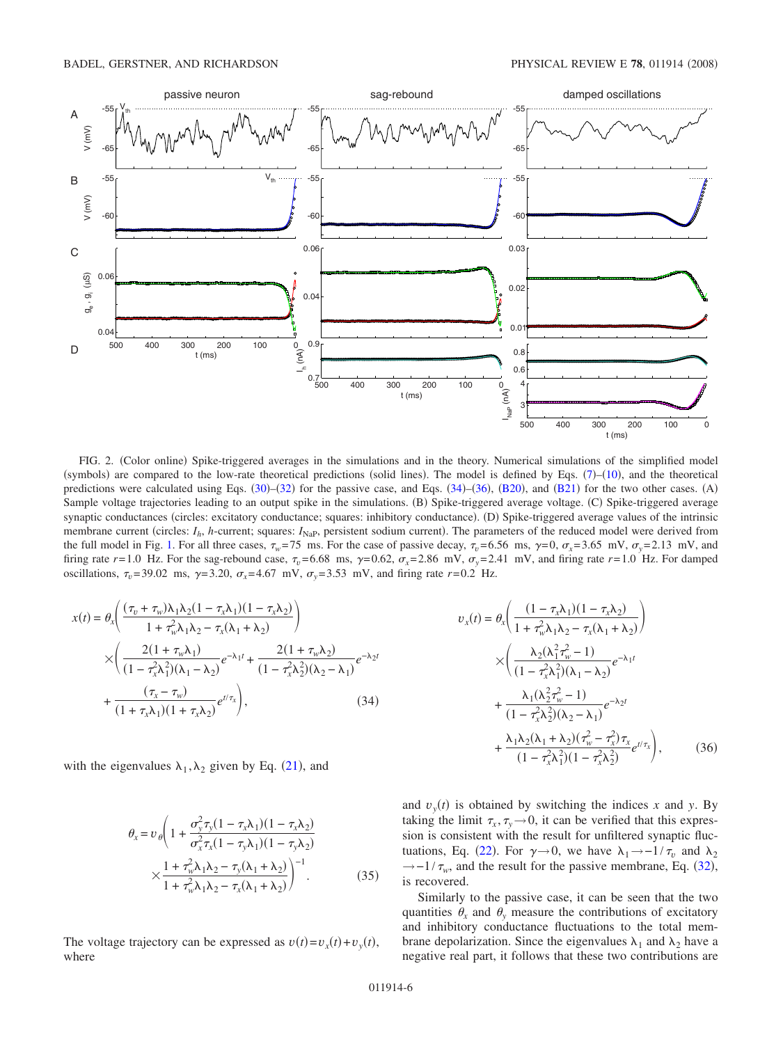<span id="page-5-2"></span>

FIG. 2. (Color online) Spike-triggered averages in the simulations and in the theory. Numerical simulations of the simplified model (symbols) are compared to the low-rate theoretical predictions (solid lines). The model is defined by Eqs.  $(7)-(10)$  $(7)-(10)$  $(7)-(10)$  $(7)-(10)$  $(7)-(10)$ , and the theoretical predictions were calculated using Eqs.  $(30)$  $(30)$  $(30)$ – $(32)$  $(32)$  $(32)$  for the passive case, and Eqs.  $(34)$  $(34)$  $(34)$ – $(36)$  $(36)$  $(36)$ ,  $(B20)$  $(B20)$  $(B20)$ , and  $(B21)$  $(B21)$  $(B21)$  for the two other cases. (A) Sample voltage trajectories leading to an output spike in the simulations. (B) Spike-triggered average voltage. (C) Spike-triggered average synaptic conductances (circles: excitatory conductance; squares: inhibitory conductance). (D) Spike-triggered average values of the intrinsic membrane current (circles:  $I_h$ , *h*-current; squares:  $I_{\text{NaP}}$ , persistent sodium current). The parameters of the reduced model were derived from the full model in Fig. [1.](#page-2-0) For all three cases,  $\tau_w$ = 75 ms. For the case of passive decay,  $\tau_v$ = 6.56 ms,  $\gamma$ = 0,  $\sigma_x$ = 3.65 mV,  $\sigma_y$ = 2.13 mV, and firing rate *r*=1.0 Hz. For the sag-rebound case,  $\tau_v$ =6.68 ms,  $\gamma$ =0.62,  $\sigma_x$ =2.86 mV,  $\sigma_y$ =2.41 mV, and firing rate *r*=1.0 Hz. For damped oscillations,  $\tau_v$ = 39.02 ms,  $\gamma$ = 3.20,  $\sigma_x$ = 4.67 mV,  $\sigma_y$ = 3.53 mV, and firing rate *r*= 0.2 Hz.

<span id="page-5-0"></span>
$$
x(t) = \theta_x \left( \frac{(\tau_v + \tau_w)\lambda_1\lambda_2(1 - \tau_x\lambda_1)(1 - \tau_x\lambda_2)}{1 + \tau_w^2\lambda_1\lambda_2 - \tau_x(\lambda_1 + \lambda_2)} \right)
$$
  
 
$$
\times \left( \frac{2(1 + \tau_w\lambda_1)}{(1 - \tau_x^2\lambda_1^2)(\lambda_1 - \lambda_2)} e^{-\lambda_1 t} + \frac{2(1 + \tau_w\lambda_2)}{(1 - \tau_x^2\lambda_2^2)(\lambda_2 - \lambda_1)} e^{-\lambda_2 t} + \frac{(\tau_x - \tau_w)}{(1 + \tau_x\lambda_1)(1 + \tau_x\lambda_2)} e^{t/\tau_x} \right),
$$
 (34)

<span id="page-5-1"></span>
$$
v_x(t) = \theta_x \left( \frac{(1 - \tau_x \lambda_1)(1 - \tau_x \lambda_2)}{1 + \tau_w^2 \lambda_1 \lambda_2 - \tau_x(\lambda_1 + \lambda_2)} \right)
$$
  
 
$$
\times \left( \frac{\lambda_2(\lambda_1^2 \tau_w^2 - 1)}{(1 - \tau_x^2 \lambda_1^2)(\lambda_1 - \lambda_2)} e^{-\lambda_1 t} + \frac{\lambda_1(\lambda_2^2 \tau_w^2 - 1)}{(1 - \tau_x^2 \lambda_2^2)(\lambda_2 - \lambda_1)} e^{-\lambda_2 t} + \frac{\lambda_1 \lambda_2(\lambda_1 + \lambda_2)(\tau_w^2 - \tau_x^2)\tau_x}{(1 - \tau_x^2 \lambda_1^2)(1 - \tau_x^2 \lambda_2^2)} e^{t/\tau_x} \right), \tag{36}
$$

with the eigenvalues  $\lambda_1, \lambda_2$  given by Eq. ([21](#page-3-6)), and

<span id="page-5-3"></span>
$$
\theta_x = v_\theta \left( 1 + \frac{\sigma_v^2 \tau_y (1 - \tau_x \lambda_1)(1 - \tau_x \lambda_2)}{\sigma_x^2 \tau_x (1 - \tau_y \lambda_1)(1 - \tau_y \lambda_2)} \times \frac{1 + \tau_w^2 \lambda_1 \lambda_2 - \tau_y (\lambda_1 + \lambda_2)}{1 + \tau_w^2 \lambda_1 \lambda_2 - \tau_x (\lambda_1 + \lambda_2)} \right)^{-1}.
$$
\n(35)

The voltage trajectory can be expressed as  $v(t) = v_x(t) + v_y(t)$ , where

and  $v_y(t)$  is obtained by switching the indices *x* and *y*. By taking the limit  $\tau_x, \tau_y \rightarrow 0$ , it can be verified that this expression is consistent with the result for unfiltered synaptic fluc-tuations, Eq. ([22](#page-3-7)). For  $\gamma \rightarrow 0$ , we have  $\lambda_1 \rightarrow -1/\tau_v$  and  $\lambda_2$  $\rightarrow$ −1/ $\tau_w$ , and the result for the passive membrane, Eq. ([32](#page-4-1)), is recovered.

Similarly to the passive case, it can be seen that the two quantities  $\theta_x$  and  $\theta_y$  measure the contributions of excitatory and inhibitory conductance fluctuations to the total membrane depolarization. Since the eigenvalues  $\lambda_1$  and  $\lambda_2$  have a negative real part, it follows that these two contributions are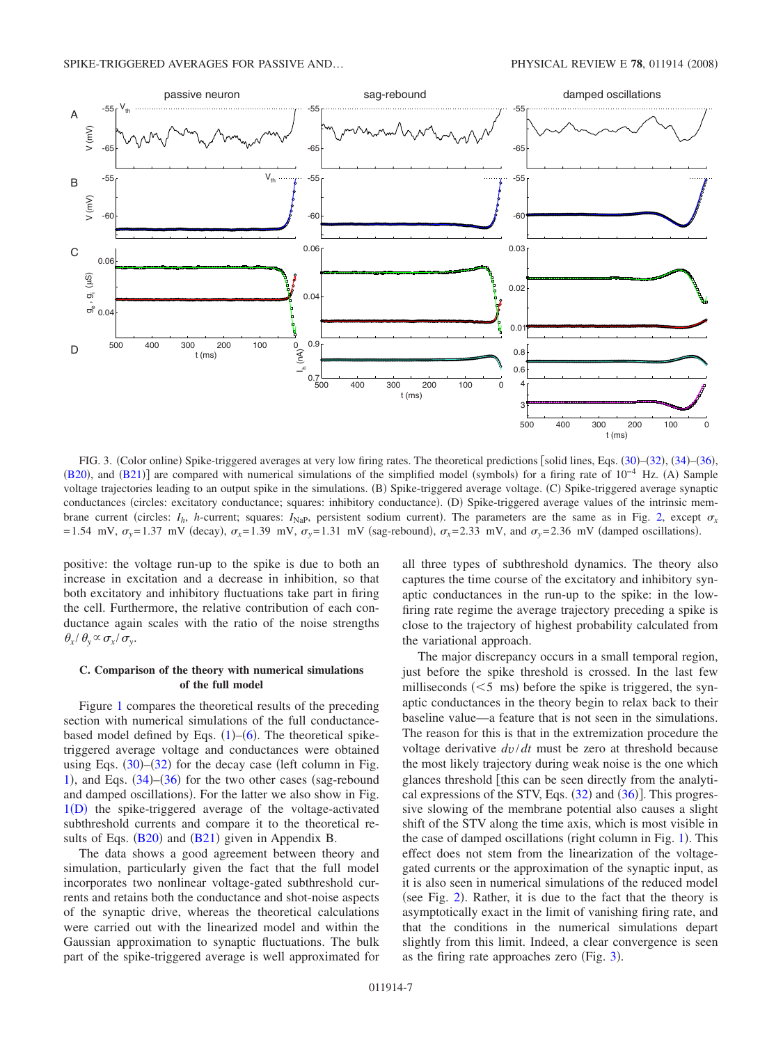<span id="page-6-0"></span>

FIG. 3. (Color online) Spike-triggered averages at very low firing rates. The theoretical predictions [solid lines, Eqs. ([30](#page-4-0))–([32](#page-4-1)), ([34](#page-5-0))–([36](#page-5-1)),  $(B20)$  $(B20)$  $(B20)$ , and  $(B21)$  $(B21)$  $(B21)$ ] are compared with numerical simulations of the simplified model (symbols) for a firing rate of 10<sup>-4</sup> Hz. (A) Sample voltage trajectories leading to an output spike in the simulations. (B) Spike-triggered average voltage. (C) Spike-triggered average synaptic conductances (circles: excitatory conductance; squares: inhibitory conductance). (D) Spike-triggered average values of the intrinsic membrane current (circles:  $I_h$ , *h*-current; squares:  $I_{\text{NaP}}$ , persistent sodium current). The parameters are the same as in Fig. [2,](#page-5-2) except  $\sigma_x$ =1.54 mV,  $\sigma_y$ =1.37 mV (decay),  $\sigma_x$ =1.39 mV,  $\sigma_y$ =1.31 mV (sag-rebound),  $\sigma_x$ =2.33 mV, and  $\sigma_y$ =2.36 mV (damped oscillations).

positive: the voltage run-up to the spike is due to both an increase in excitation and a decrease in inhibition, so that both excitatory and inhibitory fluctuations take part in firing the cell. Furthermore, the relative contribution of each conductance again scales with the ratio of the noise strengths  $\theta_x$  /  $\theta_y \propto \sigma_x / \sigma_y$ .

### **C. Comparison of the theory with numerical simulations of the full model**

Figure [1](#page-2-0) compares the theoretical results of the preceding section with numerical simulations of the full conductancebased model defined by Eqs.  $(1)$  $(1)$  $(1)$ – $(6)$  $(6)$  $(6)$ . The theoretical spiketriggered average voltage and conductances were obtained using Eqs.  $(30)$  $(30)$  $(30)$ – $(32)$  $(32)$  $(32)$  for the decay case (left column in Fig. [1](#page-2-0)), and Eqs.  $(34)$  $(34)$  $(34)$ – $(36)$  $(36)$  $(36)$  for the two other cases (sag-rebound and damped oscillations). For the latter we also show in Fig. 1([D](#page-2-0)) the spike-triggered average of the voltage-activated subthreshold currents and compare it to the theoretical results of Eqs.  $(B20)$  $(B20)$  $(B20)$  and  $(B21)$  $(B21)$  $(B21)$  given in Appendix B.

The data shows a good agreement between theory and simulation, particularly given the fact that the full model incorporates two nonlinear voltage-gated subthreshold currents and retains both the conductance and shot-noise aspects of the synaptic drive, whereas the theoretical calculations were carried out with the linearized model and within the Gaussian approximation to synaptic fluctuations. The bulk part of the spike-triggered average is well approximated for all three types of subthreshold dynamics. The theory also captures the time course of the excitatory and inhibitory synaptic conductances in the run-up to the spike: in the lowfiring rate regime the average trajectory preceding a spike is close to the trajectory of highest probability calculated from the variational approach.

The major discrepancy occurs in a small temporal region, just before the spike threshold is crossed. In the last few milliseconds  $(< 5$  ms) before the spike is triggered, the synaptic conductances in the theory begin to relax back to their baseline value—a feature that is not seen in the simulations. The reason for this is that in the extremization procedure the voltage derivative *dv*/*dt* must be zero at threshold because the most likely trajectory during weak noise is the one which glances threshold this can be seen directly from the analytical expressions of the STV, Eqs.  $(32)$  $(32)$  $(32)$  and  $(36)$  $(36)$  $(36)$ ]. This progressive slowing of the membrane potential also causes a slight shift of the STV along the time axis, which is most visible in the case of damped oscillations (right column in Fig. [1](#page-2-0)). This effect does not stem from the linearization of the voltagegated currents or the approximation of the synaptic input, as it is also seen in numerical simulations of the reduced model (see Fig.  $2$ ). Rather, it is due to the fact that the theory is asymptotically exact in the limit of vanishing firing rate, and that the conditions in the numerical simulations depart slightly from this limit. Indeed, a clear convergence is seen as the firing rate approaches zero (Fig. [3](#page-6-0)).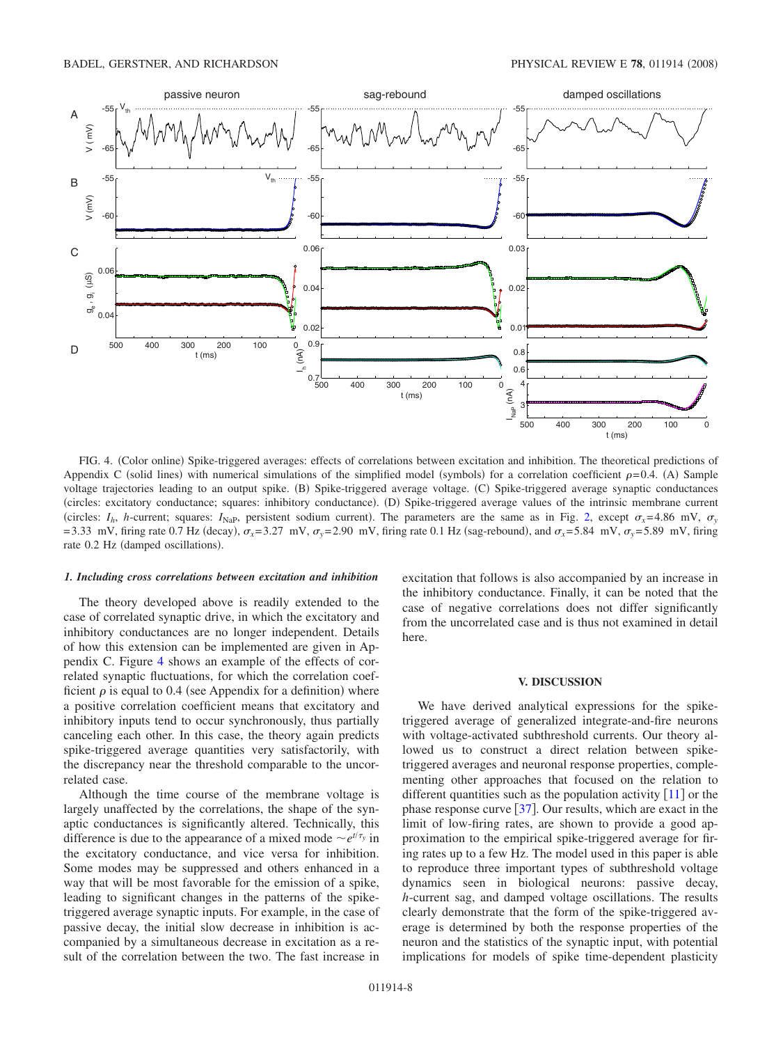<span id="page-7-0"></span>

FIG. 4. (Color online) Spike-triggered averages: effects of correlations between excitation and inhibition. The theoretical predictions of Appendix C (solid lines) with numerical simulations of the simplified model (symbols) for a correlation coefficient  $\rho$ =0.4. (A) Sample voltage trajectories leading to an output spike. (B) Spike-triggered average voltage. (C) Spike-triggered average synaptic conductances (circles: excitatory conductance; squares: inhibitory conductance). (D) Spike-triggered average values of the intrinsic membrane current (circles:  $I_h$ , *h*-current; squares:  $I_{\text{NaP}}$ , persistent sodium current). The parameters are the same as in Fig. [2,](#page-5-2) except  $\sigma_x = 4.86$  mV,  $\sigma_y$ = 3.33 mV, firing rate 0.7 Hz (decay),  $\sigma_x$ = 3.27 mV,  $\sigma_y$ = 2.90 mV, firing rate 0.1 Hz (sag-rebound), and  $\sigma_x$ = 5.84 mV,  $\sigma_y$ = 5.89 mV, firing rate 0.2 Hz (damped oscillations).

### *1. Including cross correlations between excitation and inhibition*

The theory developed above is readily extended to the case of correlated synaptic drive, in which the excitatory and inhibitory conductances are no longer independent. Details of how this extension can be implemented are given in Appendix C. Figure [4](#page-7-0) shows an example of the effects of correlated synaptic fluctuations, for which the correlation coefficient  $\rho$  is equal to 0.4 (see Appendix for a definition) where a positive correlation coefficient means that excitatory and inhibitory inputs tend to occur synchronously, thus partially canceling each other. In this case, the theory again predicts spike-triggered average quantities very satisfactorily, with the discrepancy near the threshold comparable to the uncorrelated case.

Although the time course of the membrane voltage is largely unaffected by the correlations, the shape of the synaptic conductances is significantly altered. Technically, this difference is due to the appearance of a mixed mode  $\sim e^{t/\tau_y}$  in the excitatory conductance, and vice versa for inhibition. Some modes may be suppressed and others enhanced in a way that will be most favorable for the emission of a spike, leading to significant changes in the patterns of the spiketriggered average synaptic inputs. For example, in the case of passive decay, the initial slow decrease in inhibition is accompanied by a simultaneous decrease in excitation as a result of the correlation between the two. The fast increase in excitation that follows is also accompanied by an increase in the inhibitory conductance. Finally, it can be noted that the case of negative correlations does not differ significantly from the uncorrelated case and is thus not examined in detail here.

### **V. DISCUSSION**

We have derived analytical expressions for the spiketriggered average of generalized integrate-and-fire neurons with voltage-activated subthreshold currents. Our theory allowed us to construct a direct relation between spiketriggered averages and neuronal response properties, complementing other approaches that focused on the relation to different quantities such as the population activity  $[11]$  $[11]$  $[11]$  or the phase response curve  $[37]$  $[37]$  $[37]$ . Our results, which are exact in the limit of low-firing rates, are shown to provide a good approximation to the empirical spike-triggered average for firing rates up to a few Hz. The model used in this paper is able to reproduce three important types of subthreshold voltage dynamics seen in biological neurons: passive decay, *h*-current sag, and damped voltage oscillations. The results clearly demonstrate that the form of the spike-triggered average is determined by both the response properties of the neuron and the statistics of the synaptic input, with potential implications for models of spike time-dependent plasticity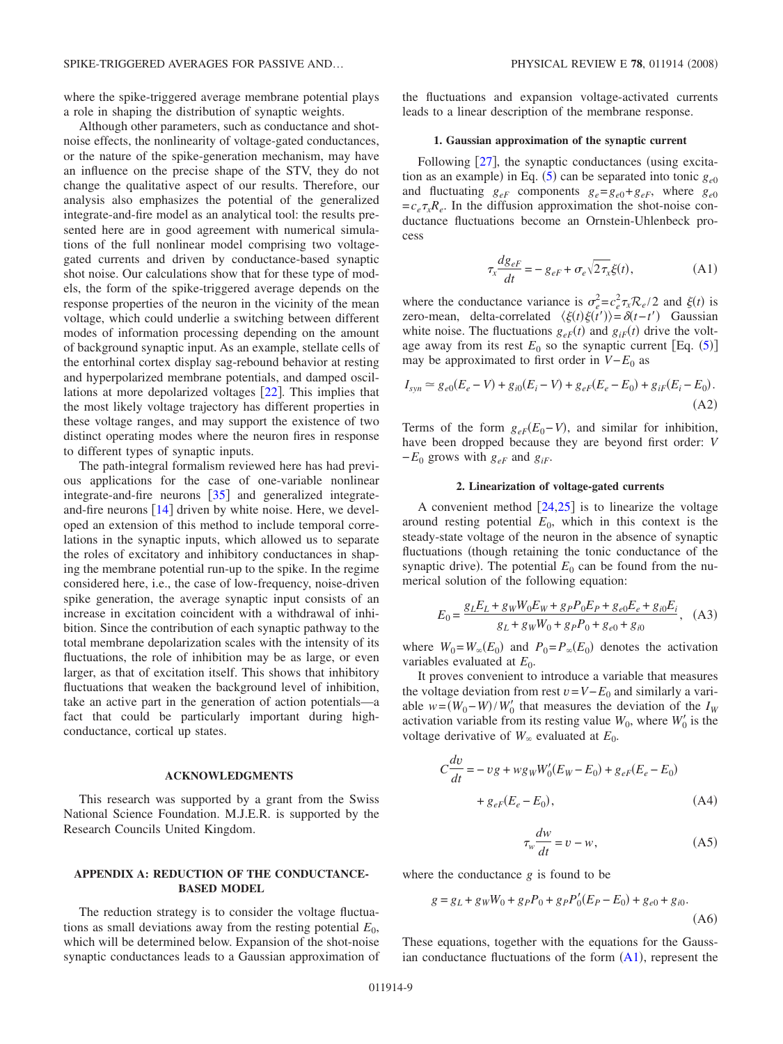where the spike-triggered average membrane potential plays a role in shaping the distribution of synaptic weights.

Although other parameters, such as conductance and shotnoise effects, the nonlinearity of voltage-gated conductances, or the nature of the spike-generation mechanism, may have an influence on the precise shape of the STV, they do not change the qualitative aspect of our results. Therefore, our analysis also emphasizes the potential of the generalized integrate-and-fire model as an analytical tool: the results presented here are in good agreement with numerical simulations of the full nonlinear model comprising two voltagegated currents and driven by conductance-based synaptic shot noise. Our calculations show that for these type of models, the form of the spike-triggered average depends on the response properties of the neuron in the vicinity of the mean voltage, which could underlie a switching between different modes of information processing depending on the amount of background synaptic input. As an example, stellate cells of the entorhinal cortex display sag-rebound behavior at resting and hyperpolarized membrane potentials, and damped oscillations at more depolarized voltages  $[22]$  $[22]$  $[22]$ . This implies that the most likely voltage trajectory has different properties in these voltage ranges, and may support the existence of two distinct operating modes where the neuron fires in response to different types of synaptic inputs.

The path-integral formalism reviewed here has had previous applications for the case of one-variable nonlinear integrate-and-fire neurons  $\begin{bmatrix} 35 \end{bmatrix}$  $\begin{bmatrix} 35 \end{bmatrix}$  $\begin{bmatrix} 35 \end{bmatrix}$  and generalized integrateand-fire neurons  $[14]$  $[14]$  $[14]$  driven by white noise. Here, we developed an extension of this method to include temporal correlations in the synaptic inputs, which allowed us to separate the roles of excitatory and inhibitory conductances in shaping the membrane potential run-up to the spike. In the regime considered here, i.e., the case of low-frequency, noise-driven spike generation, the average synaptic input consists of an increase in excitation coincident with a withdrawal of inhibition. Since the contribution of each synaptic pathway to the total membrane depolarization scales with the intensity of its fluctuations, the role of inhibition may be as large, or even larger, as that of excitation itself. This shows that inhibitory fluctuations that weaken the background level of inhibition, take an active part in the generation of action potentials—a fact that could be particularly important during highconductance, cortical up states.

#### **ACKNOWLEDGMENTS**

This research was supported by a grant from the Swiss National Science Foundation. M.J.E.R. is supported by the Research Councils United Kingdom.

## **APPENDIX A: REDUCTION OF THE CONDUCTANCE-BASED MODEL**

The reduction strategy is to consider the voltage fluctuations as small deviations away from the resting potential  $E_0$ , which will be determined below. Expansion of the shot-noise synaptic conductances leads to a Gaussian approximation of the fluctuations and expansion voltage-activated currents leads to a linear description of the membrane response.

### **1. Gaussian approximation of the synaptic current**

Following  $[27]$  $[27]$  $[27]$ , the synaptic conductances (using excitation as an example) in Eq.  $(5)$  $(5)$  $(5)$  can be separated into tonic  $g_{e0}$ and fluctuating  $g_{eF}$  components  $g_{e} = g_{e0} + g_{eF}$ , where  $g_{e0}$  $=c_{e}\tau_{x}R_{e}$ . In the diffusion approximation the shot-noise conductance fluctuations become an Ornstein-Uhlenbeck process

$$
\tau_x \frac{dg_{eF}}{dt} = -g_{eF} + \sigma_e \sqrt{2\tau_x} \xi(t), \tag{A1}
$$

<span id="page-8-0"></span>where the conductance variance is  $\sigma_e^2 = c_e^2 \tau_x \mathcal{R}_e / 2$  and  $\xi(t)$  is zero-mean, delta-correlated  $\langle \xi(t) \xi(t') \rangle = \delta(t-t')$  Gaussian white noise. The fluctuations  $g_{eF}(t)$  and  $g_{iF}(t)$  drive the voltage away from its rest  $E_0$  so the synaptic current [Eq.  $(5)$  $(5)$  $(5)$ ] may be approximated to first order in  $V-E_0$  as

$$
I_{syn} \simeq g_{e0}(E_e - V) + g_{i0}(E_i - V) + g_{eF}(E_e - E_0) + g_{iF}(E_i - E_0).
$$
\n(A2)

Terms of the form  $g_{eF}(E_0 - V)$ , and similar for inhibition, have been dropped because they are beyond first order: *V*  $-E_0$  grows with  $g_{eF}$  and  $g_{iF}$ .

### **2. Linearization of voltage-gated currents**

A convenient method  $[24,25]$  $[24,25]$  $[24,25]$  $[24,25]$  is to linearize the voltage around resting potential  $E_0$ , which in this context is the steady-state voltage of the neuron in the absence of synaptic fluctuations (though retaining the tonic conductance of the synaptic drive). The potential  $E_0$  can be found from the numerical solution of the following equation:

$$
E_0 = \frac{g_L E_L + g_W W_0 E_W + g_P P_0 E_P + g_{e0} E_e + g_{i0} E_i}{g_L + g_W W_0 + g_P P_0 + g_{e0} + g_{i0}},
$$
 (A3)

where  $W_0 = W_\infty(E_0)$  and  $P_0 = P_\infty(E_0)$  denotes the activation variables evaluated at  $E_0$ .

It proves convenient to introduce a variable that measures the voltage deviation from rest  $v = V - E_0$  and similarly a variable  $w = (W_0 - W) / W'_0$  that measures the deviation of the  $I_W$ activation variable from its resting value  $W_0$ , where  $W'_0$  is the voltage derivative of  $W_{\infty}$  evaluated at  $E_0$ .

$$
C\frac{dv}{dt} = -v g + w g_W W_0'(E_W - E_0) + g_{eF}(E_e - E_0)
$$
  
+  $g_{eF}(E_e - E_0)$ , (A4)

$$
\tau_w \frac{dw}{dt} = v - w,\tag{A5}
$$

where the conductance *g* is found to be

$$
g = g_L + g_W W_0 + g_P P_0 + g_P P_0'(E_P - E_0) + g_{e0} + g_{i0}.
$$
\n(A6)

These equations, together with the equations for the Gaussian conductance fluctuations of the form  $(A1)$  $(A1)$  $(A1)$ , represent the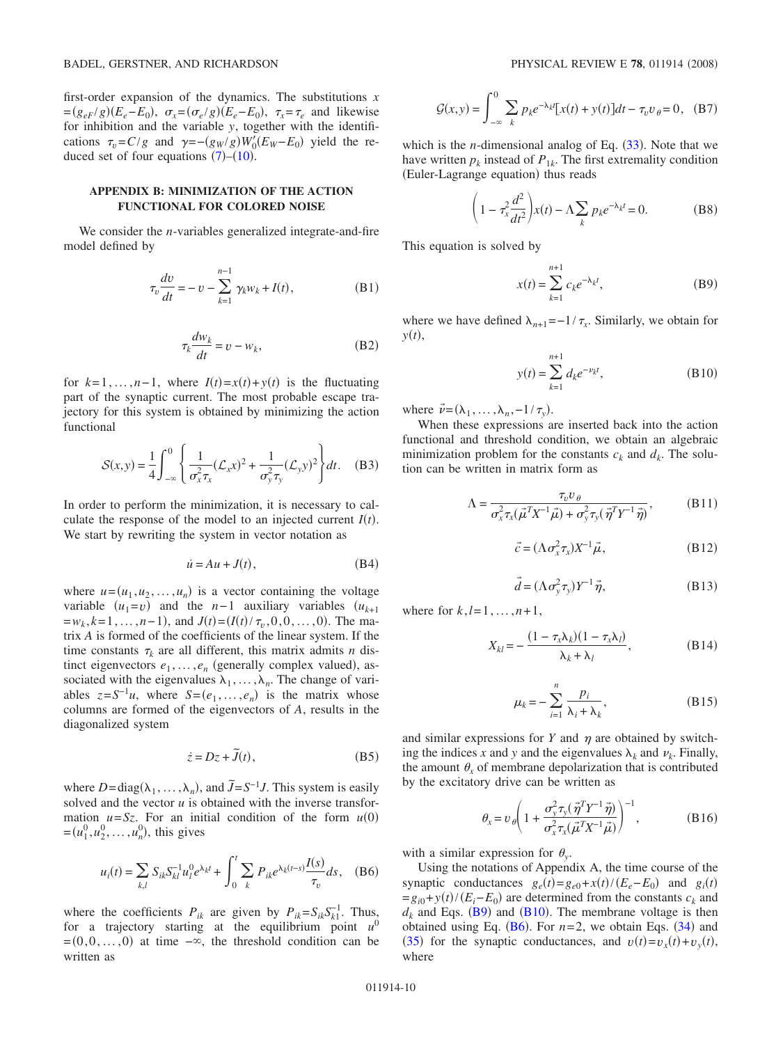first-order expansion of the dynamics. The substitutions *x*  $=(g_{eF}/g)(E_e - E_0)$ ,  $\sigma_x = (\sigma_e/g)(E_e - E_0)$ ,  $\tau_x = \tau_e$  and likewise for inhibition and the variable *y*, together with the identifications  $\tau_v = C/g$  and  $\gamma = -(g_W/g)W_0'(E_W - E_0)$  yield the reduced set of four equations  $(7)$  $(7)$  $(7)$ – $(10)$  $(10)$  $(10)$ .

## **APPENDIX B: MINIMIZATION OF THE ACTION FUNCTIONAL FOR COLORED NOISE**

We consider the *n*-variables generalized integrate-and-fire model defined by

$$
\tau_v \frac{dv}{dt} = -v - \sum_{k=1}^{n-1} \gamma_k w_k + I(t),
$$
 (B1)

$$
\tau_k \frac{dw_k}{dt} = v - w_k,\tag{B2}
$$

for  $k=1,\ldots,n-1$ , where  $I(t)=x(t)+y(t)$  is the fluctuating part of the synaptic current. The most probable escape trajectory for this system is obtained by minimizing the action functional

$$
S(x,y) = \frac{1}{4} \int_{-\infty}^{0} \left\{ \frac{1}{\sigma_x^2 \tau_x} (\mathcal{L}_x x)^2 + \frac{1}{\sigma_y^2 \tau_y} (\mathcal{L}_y y)^2 \right\} dt. \quad (B3)
$$

In order to perform the minimization, it is necessary to calculate the response of the model to an injected current  $I(t)$ . We start by rewriting the system in vector notation as

$$
\dot{u} = Au + J(t),\tag{B4}
$$

where  $u = (u_1, u_2, \dots, u_n)$  is a vector containing the voltage variable  $(u_1 = v)$  and the *n*−1 auxiliary variables  $(u_{k+1})$  $=w_k, k=1, \ldots, n-1$ , and  $J(t) = (I(t)/\tau_v, 0, 0, \ldots, 0)$ . The matrix *A* is formed of the coefficients of the linear system. If the time constants  $\tau_k$  are all different, this matrix admits *n* distinct eigenvectors  $e_1, \ldots, e_n$  (generally complex valued), associated with the eigenvalues  $\lambda_1, \ldots, \lambda_n$ . The change of variables  $z = S^{-1}u$ , where  $S = (e_1, \ldots, e_n)$  is the matrix whose columns are formed of the eigenvectors of *A*, results in the diagonalized system

$$
\dot{z} = Dz + \tilde{J}(t),\tag{B5}
$$

where  $D = \text{diag}(\lambda_1, ..., \lambda_n)$ , and  $\tilde{J} = S^{-1}J$ . This system is easily solved and the vector *u* is obtained with the inverse transformation  $u = Sz$ . For an initial condition of the form  $u(0)$  $=(u_1^0, u_2^0, \dots, u_n^0)$ , this gives

$$
u_i(t) = \sum_{k,l} S_{ik} S_{kl}^{-1} u_l^0 e^{\lambda_k t} + \int_0^t \sum_k P_{ik} e^{\lambda_k (t-s)} \frac{I(s)}{\tau_v} ds, \quad (B6)
$$

<span id="page-9-2"></span>where the coefficients  $P_{ik}$  are given by  $P_{ik} = S_{ik} S_{k1}^{-1}$ . Thus, for a trajectory starting at the equilibrium point  $u^0$  $=(0,0,\ldots,0)$  at time  $-\infty$ , the threshold condition can be written as

$$
\mathcal{G}(x,y) = \int_{-\infty}^{0} \sum_{k} p_k e^{-\lambda_k t} [x(t) + y(t)] dt - \tau_v v_\theta = 0, \quad (B7)
$$

which is the *n*-dimensional analog of Eq.  $(33)$  $(33)$  $(33)$ . Note that we have written  $p_k$  instead of  $P_{1k}$ . The first extremality condition (Euler-Lagrange equation) thus reads

$$
\left(1 - \tau_x^2 \frac{d^2}{dt^2}\right) x(t) - \Lambda \sum_k p_k e^{-\lambda_k t} = 0.
$$
 (B8)

This equation is solved by

$$
x(t) = \sum_{k=1}^{n+1} c_k e^{-\lambda_k t},
$$
 (B9)

<span id="page-9-0"></span>where we have defined  $\lambda_{n+1} = -1/\tau_{\rm r}$ . Similarly, we obtain for *y*(*t*),

$$
y(t) = \sum_{k=1}^{n+1} d_k e^{-\nu_k t},
$$
 (B10)

<span id="page-9-1"></span>where  $\vec{\nu} = (\lambda_1, \ldots, \lambda_n, -1/\tau_y)$ .

When these expressions are inserted back into the action functional and threshold condition, we obtain an algebraic minimization problem for the constants  $c_k$  and  $d_k$ . The solution can be written in matrix form as

$$
\Lambda = \frac{\tau_v v_\theta}{\sigma_x^2 \tau_x (\vec{\mu}^T X^{-1} \vec{\mu}) + \sigma_y^2 \tau_y (\vec{\eta}^T Y^{-1} \vec{\eta})},
$$
(B11)

$$
\vec{c} = (\Lambda \sigma_x^2 \tau_x) X^{-1} \vec{\mu}, \qquad (B12)
$$

$$
\vec{d} = (\Lambda \sigma_y^2 \tau_y) Y^{-1} \vec{\eta}, \qquad (B13)
$$

where for  $k, l=1, \ldots, n+1$ ,

$$
X_{kl} = -\frac{(1 - \tau_x \lambda_k)(1 - \tau_x \lambda_l)}{\lambda_k + \lambda_l}, \tag{B14}
$$

$$
\mu_k = -\sum_{i=1}^n \frac{p_i}{\lambda_i + \lambda_k},
$$
\n(B15)

and similar expressions for  $Y$  and  $\eta$  are obtained by switching the indices *x* and *y* and the eigenvalues  $\lambda_k$  and  $\nu_k$ . Finally, the amount  $\theta_x$  of membrane depolarization that is contributed by the excitatory drive can be written as

$$
\theta_x = v_\theta \left( 1 + \frac{\sigma_y^2 \tau_y (\vec{\eta}^T Y^{-1} \vec{\eta})}{\sigma_x^2 \tau_x (\vec{\mu}^T X^{-1} \vec{\mu})} \right)^{-1},
$$
 (B16)

with a similar expression for  $\theta_{\rm v}$ .

Using the notations of Appendix A, the time course of the synaptic conductances  $g_e(t) = g_{e0} + x(t)/(E_e - E_0)$  and  $g_i(t)$  $= g_{i0} + y(t) / (E_i - E_0)$  are determined from the constants  $c_k$  and  $d_k$  and Eqs. ([B9](#page-9-0)) and ([B10](#page-9-1)). The membrane voltage is then obtained using Eq.  $(B6)$  $(B6)$  $(B6)$ . For  $n=2$ , we obtain Eqs.  $(34)$  $(34)$  $(34)$  and ([35](#page-5-3)) for the synaptic conductances, and  $v(t) = v_x(t) + v_y(t)$ , where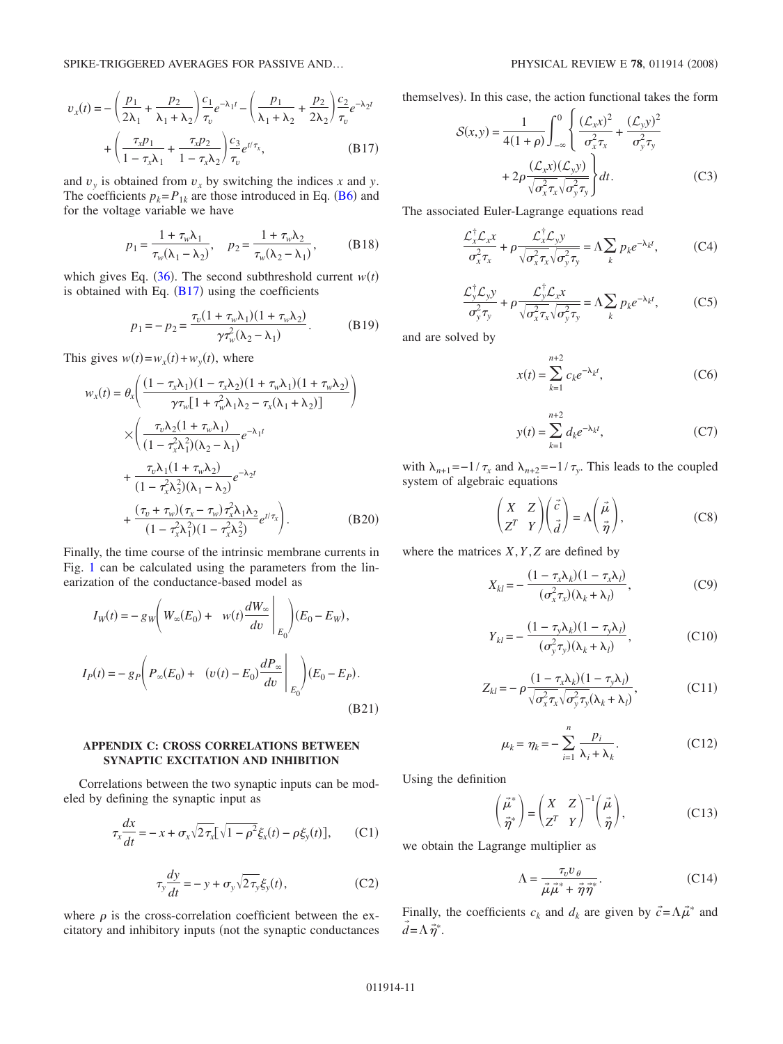<span id="page-10-2"></span>
$$
v_x(t) = -\left(\frac{p_1}{2\lambda_1} + \frac{p_2}{\lambda_1 + \lambda_2}\right) \frac{c_1}{\tau_v} e^{-\lambda_1 t} - \left(\frac{p_1}{\lambda_1 + \lambda_2} + \frac{p_2}{2\lambda_2}\right) \frac{c_2}{\tau_v} e^{-\lambda_2 t} + \left(\frac{\tau_x p_1}{1 - \tau_x \lambda_1} + \frac{\tau_x p_2}{1 - \tau_x \lambda_2}\right) \frac{c_3}{\tau_v} e^{t/\tau_x},
$$
 (B17)

and  $v_y$  is obtained from  $v_x$  by switching the indices x and y. The coefficients  $p_k = P_{1k}$  are those introduced in Eq. ([B6](#page-9-2)) and for the voltage variable we have

$$
p_1 = \frac{1 + \tau_w \lambda_1}{\tau_w(\lambda_1 - \lambda_2)}, \quad p_2 = \frac{1 + \tau_w \lambda_2}{\tau_w(\lambda_2 - \lambda_1)}, \quad (B18)
$$

which gives Eq.  $(36)$  $(36)$  $(36)$ . The second subthreshold current  $w(t)$ is obtained with Eq.  $(B17)$  $(B17)$  $(B17)$  using the coefficients

$$
p_1 = -p_2 = \frac{\tau_v (1 + \tau_w \lambda_1)(1 + \tau_w \lambda_2)}{\gamma \tau_w^2 (\lambda_2 - \lambda_1)}.
$$
 (B19)

This gives  $w(t) = w_x(t) + w_y(t)$ , where

<span id="page-10-0"></span>
$$
w_{x}(t) = \theta_{x} \left( \frac{(1 - \tau_{x} \lambda_{1})(1 - \tau_{x} \lambda_{2})(1 + \tau_{w} \lambda_{1})(1 + \tau_{w} \lambda_{2})}{\gamma \tau_{w} [1 + \tau_{w}^{2} \lambda_{1} \lambda_{2} - \tau_{x} (\lambda_{1} + \lambda_{2})]} \right) \times \left( \frac{\tau_{v} \lambda_{2} (1 + \tau_{w} \lambda_{1})}{(1 - \tau_{x}^{2} \lambda_{1}^{2})(\lambda_{2} - \lambda_{1})} e^{-\lambda_{1} t} + \frac{\tau_{v} \lambda_{1} (1 + \tau_{w} \lambda_{2})}{(1 - \tau_{x}^{2} \lambda_{2}^{2})(\lambda_{1} - \lambda_{2})} e^{-\lambda_{2} t} + \frac{(\tau_{v} + \tau_{w})(\tau_{x} - \tau_{w}) \tau_{x}^{2} \lambda_{1} \lambda_{2}}{(1 - \tau_{x}^{2} \lambda_{1}^{2})(1 - \tau_{x}^{2} \lambda_{2})} e^{t/\tau_{x}} \right).
$$
(B20)

Finally, the time course of the intrinsic membrane currents in Fig. [1](#page-2-0) can be calculated using the parameters from the linearization of the conductance-based model as

<span id="page-10-1"></span>
$$
I_{W}(t) = -g_{W}\left(W_{\infty}(E_{0}) + w(t)\frac{dW_{\infty}}{dv}\Bigg|_{E_{0}}\right)(E_{0} - E_{W}),
$$
  

$$
I_{P}(t) = -g_{P}\left(P_{\infty}(E_{0}) + (v(t) - E_{0})\frac{dP_{\infty}}{dv}\Bigg|_{E_{0}}\right)(E_{0} - E_{P}).
$$
  
(B21)

# **APPENDIX C: CROSS CORRELATIONS BETWEEN SYNAPTIC EXCITATION AND INHIBITION**

Correlations between the two synaptic inputs can be modeled by defining the synaptic input as

$$
\tau_x \frac{dx}{dt} = -x + \sigma_x \sqrt{2\tau_x} \left[ \sqrt{1 - \rho^2} \xi_x(t) - \rho \xi_y(t) \right],\qquad(C1)
$$

$$
\tau_y \frac{dy}{dt} = -y + \sigma_y \sqrt{2\tau_y} \xi_y(t), \qquad (C2)
$$

where  $\rho$  is the cross-correlation coefficient between the excitatory and inhibitory inputs (not the synaptic conductances themselves). In this case, the action functional takes the form

$$
S(x,y) = \frac{1}{4(1+\rho)} \int_{-\infty}^{0} \left\{ \frac{(\mathcal{L}_x x)^2}{\sigma_x^2 \tau_x} + \frac{(\mathcal{L}_y y)^2}{\sigma_y^2 \tau_y} + 2\rho \frac{(\mathcal{L}_x x)(\mathcal{L}_y y)}{\sqrt{\sigma_x^2 \tau_x} \sqrt{\sigma_y^2 \tau_y}} \right\} dt.
$$
 (C3)

The associated Euler-Lagrange equations read

$$
\frac{\mathcal{L}_x^{\dagger} \mathcal{L}_x x}{\sigma_x^2 \tau_x} + \rho \frac{\mathcal{L}_x^{\dagger} \mathcal{L}_y y}{\sqrt{\sigma_x^2 \tau_x} \sqrt{\sigma_y^2 \tau_y}} = \Lambda \sum_k p_k e^{-\lambda_k t},\tag{C4}
$$

$$
\frac{\mathcal{L}_y^{\dagger} \mathcal{L}_y y}{\sigma_y^2 \tau_y} + \rho \frac{\mathcal{L}_y^{\dagger} \mathcal{L}_x x}{\sqrt{\sigma_x^2 \tau_x} \sqrt{\sigma_y^2 \tau_y}} = \Lambda \sum_k p_k e^{-\lambda_k t},\tag{C5}
$$

and are solved by

$$
x(t) = \sum_{k=1}^{n+2} c_k e^{-\lambda_k t},
$$
 (C6)

$$
y(t) = \sum_{k=1}^{n+2} d_k e^{-\lambda_k t},
$$
 (C7)

with  $\lambda_{n+1} = -1/\tau_x$  and  $\lambda_{n+2} = -1/\tau_y$ . This leads to the coupled system of algebraic equations

$$
\begin{pmatrix} X & Z \\ Z^T & Y \end{pmatrix} \begin{pmatrix} \vec{c} \\ \vec{d} \end{pmatrix} = \Lambda \begin{pmatrix} \vec{\mu} \\ \vec{\eta} \end{pmatrix},
$$
 (C8)

where the matrices *X*,*Y* ,*Z* are defined by

$$
X_{kl} = -\frac{(1 - \tau_x \lambda_k)(1 - \tau_x \lambda_l)}{(\sigma_x^2 \tau_x)(\lambda_k + \lambda_l)},
$$
 (C9)

$$
Y_{kl} = -\frac{(1 - \tau_y \lambda_k)(1 - \tau_y \lambda_l)}{(\sigma_y^2 \tau_y)(\lambda_k + \lambda_l)},
$$
\n(C10)

$$
Z_{kl} = -\rho \frac{(1 - \tau_x \lambda_k)(1 - \tau_y \lambda_l)}{\sqrt{\sigma_x^2 \tau_x} \sqrt{\sigma_y^2 \tau_y} (\lambda_k + \lambda_l)},
$$
(C11)

$$
\mu_k = \eta_k = -\sum_{i=1}^n \frac{p_i}{\lambda_i + \lambda_k}.
$$
 (C12)

Using the definition

$$
\begin{pmatrix} \vec{\mu}^* \\ \vec{\eta}^* \end{pmatrix} = \begin{pmatrix} X & Z \\ Z^T & Y \end{pmatrix}^{-1} \begin{pmatrix} \vec{\mu} \\ \vec{\eta} \end{pmatrix},
$$
\n(C13)

we obtain the Lagrange multiplier as

$$
\Lambda = \frac{\tau_v v_\theta}{\vec{\mu}\vec{\mu}^* + \vec{\eta}\vec{\eta}^*}.
$$
 (C14)

Finally, the coefficients  $c_k$  and  $d_k$  are given by  $\vec{c} = \Lambda \vec{\mu}^*$  and  $\vec{d} = \Lambda \vec{\eta}^*$ .